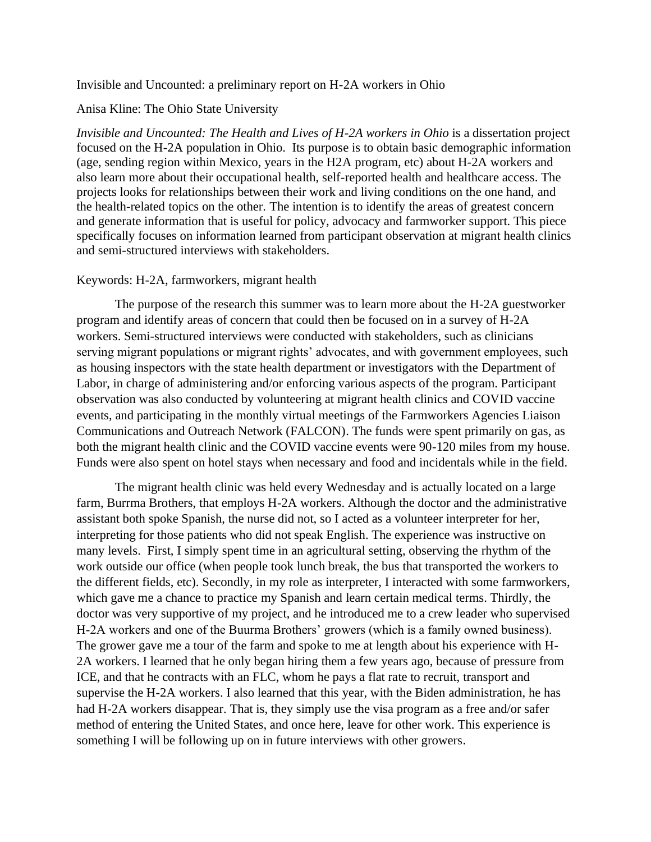## Invisible and Uncounted: a preliminary report on H-2A workers in Ohio

## Anisa Kline: The Ohio State University

*Invisible and Uncounted: The Health and Lives of H-2A workers in Ohio* is a dissertation project focused on the H-2A population in Ohio. Its purpose is to obtain basic demographic information (age, sending region within Mexico, years in the H2A program, etc) about H-2A workers and also learn more about their occupational health, self-reported health and healthcare access. The projects looks for relationships between their work and living conditions on the one hand, and the health-related topics on the other. The intention is to identify the areas of greatest concern and generate information that is useful for policy, advocacy and farmworker support. This piece specifically focuses on information learned from participant observation at migrant health clinics and semi-structured interviews with stakeholders.

## Keywords: H-2A, farmworkers, migrant health

The purpose of the research this summer was to learn more about the H-2A guestworker program and identify areas of concern that could then be focused on in a survey of H-2A workers. Semi-structured interviews were conducted with stakeholders, such as clinicians serving migrant populations or migrant rights' advocates, and with government employees, such as housing inspectors with the state health department or investigators with the Department of Labor, in charge of administering and/or enforcing various aspects of the program. Participant observation was also conducted by volunteering at migrant health clinics and COVID vaccine events, and participating in the monthly virtual meetings of the Farmworkers Agencies Liaison Communications and Outreach Network (FALCON). The funds were spent primarily on gas, as both the migrant health clinic and the COVID vaccine events were 90-120 miles from my house. Funds were also spent on hotel stays when necessary and food and incidentals while in the field.

The migrant health clinic was held every Wednesday and is actually located on a large farm, Burrma Brothers, that employs H-2A workers. Although the doctor and the administrative assistant both spoke Spanish, the nurse did not, so I acted as a volunteer interpreter for her, interpreting for those patients who did not speak English. The experience was instructive on many levels. First, I simply spent time in an agricultural setting, observing the rhythm of the work outside our office (when people took lunch break, the bus that transported the workers to the different fields, etc). Secondly, in my role as interpreter, I interacted with some farmworkers, which gave me a chance to practice my Spanish and learn certain medical terms. Thirdly, the doctor was very supportive of my project, and he introduced me to a crew leader who supervised H-2A workers and one of the Buurma Brothers' growers (which is a family owned business). The grower gave me a tour of the farm and spoke to me at length about his experience with H-2A workers. I learned that he only began hiring them a few years ago, because of pressure from ICE, and that he contracts with an FLC, whom he pays a flat rate to recruit, transport and supervise the H-2A workers. I also learned that this year, with the Biden administration, he has had H-2A workers disappear. That is, they simply use the visa program as a free and/or safer method of entering the United States, and once here, leave for other work. This experience is something I will be following up on in future interviews with other growers.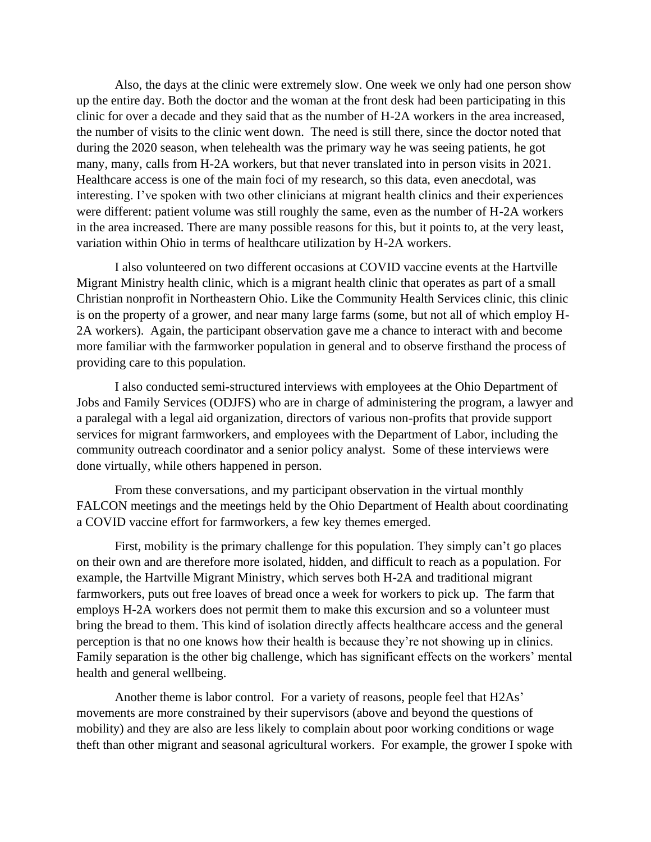Also, the days at the clinic were extremely slow. One week we only had one person show up the entire day. Both the doctor and the woman at the front desk had been participating in this clinic for over a decade and they said that as the number of H-2A workers in the area increased, the number of visits to the clinic went down. The need is still there, since the doctor noted that during the 2020 season, when telehealth was the primary way he was seeing patients, he got many, many, calls from H-2A workers, but that never translated into in person visits in 2021. Healthcare access is one of the main foci of my research, so this data, even anecdotal, was interesting. I've spoken with two other clinicians at migrant health clinics and their experiences were different: patient volume was still roughly the same, even as the number of H-2A workers in the area increased. There are many possible reasons for this, but it points to, at the very least, variation within Ohio in terms of healthcare utilization by H-2A workers.

I also volunteered on two different occasions at COVID vaccine events at the Hartville Migrant Ministry health clinic, which is a migrant health clinic that operates as part of a small Christian nonprofit in Northeastern Ohio. Like the Community Health Services clinic, this clinic is on the property of a grower, and near many large farms (some, but not all of which employ H-2A workers). Again, the participant observation gave me a chance to interact with and become more familiar with the farmworker population in general and to observe firsthand the process of providing care to this population.

I also conducted semi-structured interviews with employees at the Ohio Department of Jobs and Family Services (ODJFS) who are in charge of administering the program, a lawyer and a paralegal with a legal aid organization, directors of various non-profits that provide support services for migrant farmworkers, and employees with the Department of Labor, including the community outreach coordinator and a senior policy analyst. Some of these interviews were done virtually, while others happened in person.

From these conversations, and my participant observation in the virtual monthly FALCON meetings and the meetings held by the Ohio Department of Health about coordinating a COVID vaccine effort for farmworkers, a few key themes emerged.

First, mobility is the primary challenge for this population. They simply can't go places on their own and are therefore more isolated, hidden, and difficult to reach as a population. For example, the Hartville Migrant Ministry, which serves both H-2A and traditional migrant farmworkers, puts out free loaves of bread once a week for workers to pick up. The farm that employs H-2A workers does not permit them to make this excursion and so a volunteer must bring the bread to them. This kind of isolation directly affects healthcare access and the general perception is that no one knows how their health is because they're not showing up in clinics. Family separation is the other big challenge, which has significant effects on the workers' mental health and general wellbeing.

Another theme is labor control. For a variety of reasons, people feel that H2As' movements are more constrained by their supervisors (above and beyond the questions of mobility) and they are also are less likely to complain about poor working conditions or wage theft than other migrant and seasonal agricultural workers. For example, the grower I spoke with